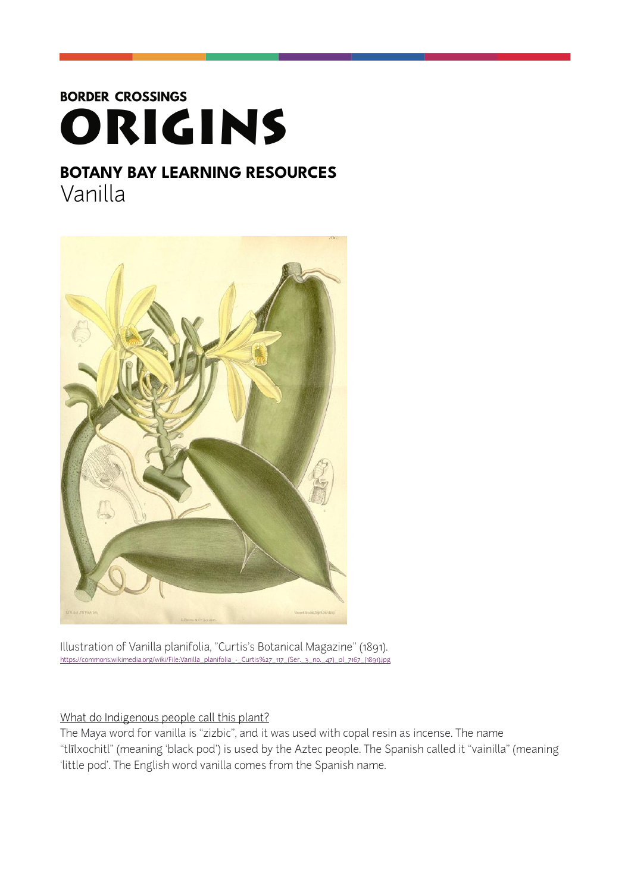# **BORDER CROSSINGS** ORIGINS

# **BOTANY BAY LEARNING RESOURCES**  Vanilla



Illustration of Vanilla planifolia, "Curtis's Botanical Magazine" (1891). م.<br>Adia.org/wiki/File:Vanilla\_planifolia\_-\_Curtis%27\_117\_(Ser.\_3\_no.\_47)\_pl\_7167\_(1891).jpg

# What do Indigenous people call this plant?

The Maya word for vanilla is "zizbic", and it was used with copal resin as incense. The name "tlīlxochitl" (meaning 'black pod') is used by the Aztec people. The Spanish called it "vainilla" (meaning 'little pod'. The English word vanilla comes from the Spanish name.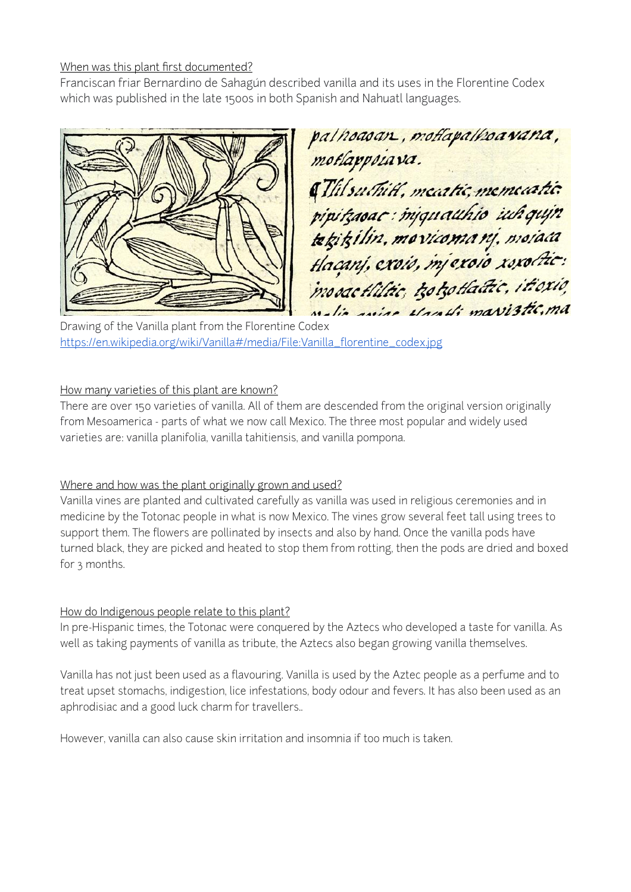#### When was this plant first documented?

Franciscan friar Bernardino de Sahagún described vanilla and its uses in the Florentine Codex which was published in the late 1500s in both Spanish and Nahuatl languages.



palhoasan, moflapalhoawana, & Thil suchiti, meatic, memeatic. pipikaoac: mjquauhio iuh qujn tekikilin, movicomanį, moiaca modactilitic, izotzotladic, itioxio, Malie aviae Maratti mavistic, ma

Drawing of the Vanilla plant from the Florentine Codex [https://en.wikipedia.org/wiki/Vanilla#/media/File:Vanilla\\_florentine\\_codex.jpg](https://en.wikipedia.org/wiki/Vanilla%252523/media/File:Vanilla_florentine_codex.jpg)

#### How many varieties of this plant are known?

There are over 150 varieties of vanilla. All of them are descended from the original version originally from Mesoamerica - parts of what we now call Mexico. The three most popular and widely used varieties are: vanilla planifolia, vanilla tahitiensis, and vanilla pompona.

# Where and how was the plant originally grown and used?

Vanilla vines are planted and cultivated carefully as vanilla was used in religious ceremonies and in medicine by the Totonac people in what is now Mexico. The vines grow several feet tall using trees to support them. The flowers are pollinated by insects and also by hand. Once the vanilla pods have turned black, they are picked and heated to stop them from rotting, then the pods are dried and boxed for 3 months.

# How do Indigenous people relate to this plant?

In pre-Hispanic times, the Totonac were conquered by the Aztecs who developed a taste for vanilla. As well as taking payments of vanilla as tribute, the Aztecs also began growing vanilla themselves.

Vanilla has not just been used as a flavouring. Vanilla is used by the Aztec people as a perfume and to treat upset stomachs, indigestion, lice infestations, body odour and fevers. It has also been used as an aphrodisiac and a good luck charm for travellers..

However, vanilla can also cause skin irritation and insomnia if too much is taken.